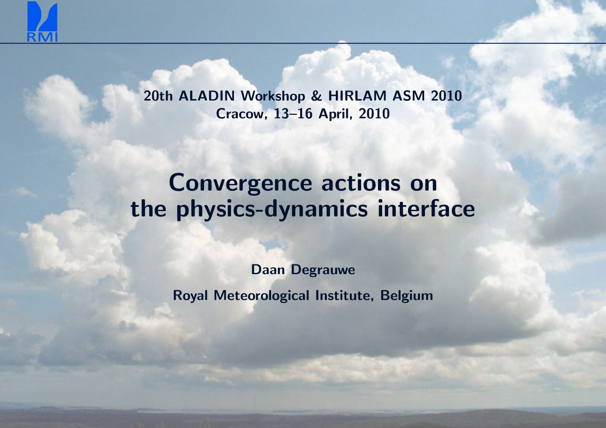

20th ALADIN Workshop & HIRLAM ASM <sup>2010</sup>Cracow, 13–16 April, <sup>2010</sup>

# Convergence actions onthe physics-dynamics interface

Daan Degrauwe

Royal Meteorological Institute, Belgium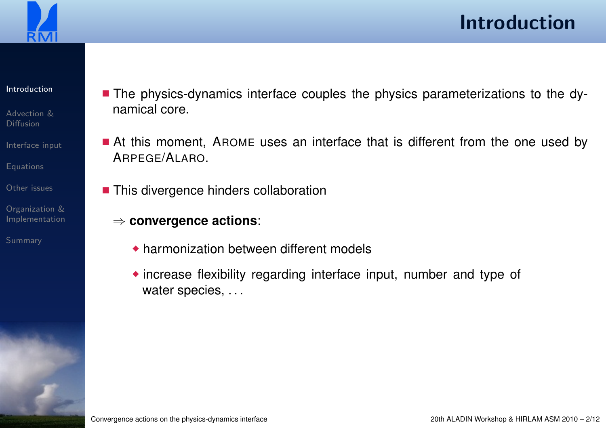<span id="page-1-0"></span>

#### [Introduction](#page-1-0)

- [Advection](#page-3-0) &Diffusion
- [Interface](#page-4-0) input
- [Equations](#page-5-0)
- [Other](#page-11-0) issues
- Organization &[Implementation](#page-12-0)
- [Summary](#page-18-0)
- The physics-dynamics interface couples the physics parameterizations to the dynamical core.
- At this moment, AROME uses an interface that is different from the one used by ARPEGE/ALARO.
- This divergence hinders collaboration
	- ⇒ **convergence actions**:
		- ◆ harmonization between different models
		- ◆ increase flexibility regarding interface input, number and type of water species, ...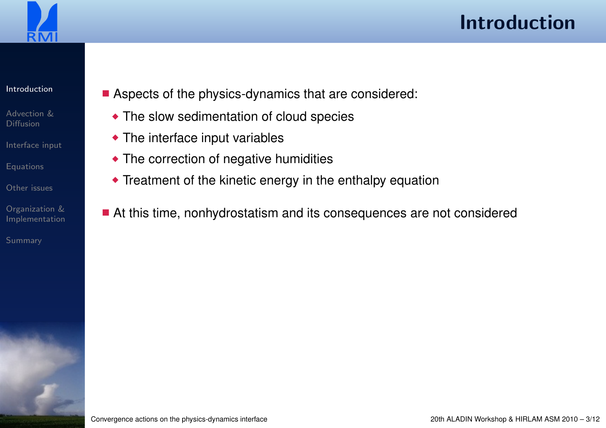

#### [Introduction](#page-1-0)

- [Advection](#page-3-0) &Diffusion
- [Interface](#page-4-0) input
- [Equations](#page-5-0)
- [Other](#page-11-0) issues
- Organization &[Implementation](#page-12-0)
- [Summary](#page-18-0)
- Aspects of the physics-dynamics that are considered:
	- ◆ The slow sedimentation of cloud species
	- ◆ The interface input variables
	- ◆ The correction of negative humidities
	- ◆ Treatment of the kinetic energy in the enthalpy equation
- At this time, nonhydrostatism and its consequences are not considered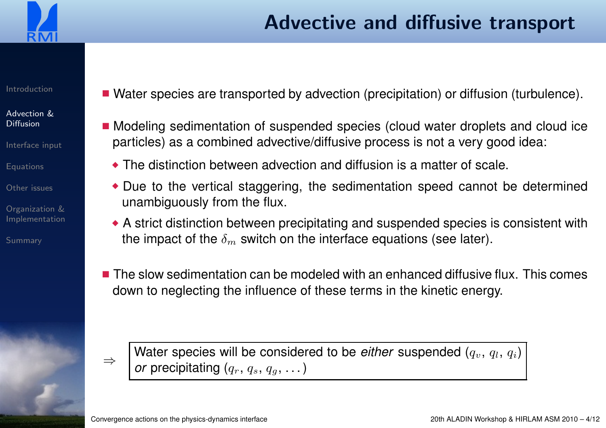<span id="page-3-0"></span>

#### [Advection](#page-3-0) &Diffusion

- [Interface](#page-4-0) input
- [Equations](#page-5-0)
- [Other](#page-11-0) issues
- Organization &[Implementation](#page-12-0)

[Summary](#page-18-0)

- Water species are transported by advection (precipitation) or diffusion (turbulence).
- Modeling sedimentation of suspended species (cloud water droplets and cloud ice particles) as <sup>a</sup> combined advective/diffusive process is not <sup>a</sup> very good idea:
	- $\bullet$  The distinction between advection and diffusion is a matter of scale.
	- ◆ Due to the vertical staggering, the sedimentation speed cannot be determined unambiguously from the flux.
	- $\bullet$  A strict distinction between precipitating and suspended species is consistent with the impact of the  $\delta_m$  $\epsilon_m$  switch on the interface equations (see later).
- $\blacksquare$  The slow sedimentation can be modeled with an enhanced diffusive flux. This comes down to neglecting the influence of these terms in the kinetic energy.

⇒

 $\Rightarrow$  Water species will be considered to be *either* suspended  $(q_v, q_l, q_i)$ <br>or precipitating  $(q_r, q_s, q_g, ...)$ *or* precipitating  $(q_r,\,q_s,\,q_g,\,\dots)$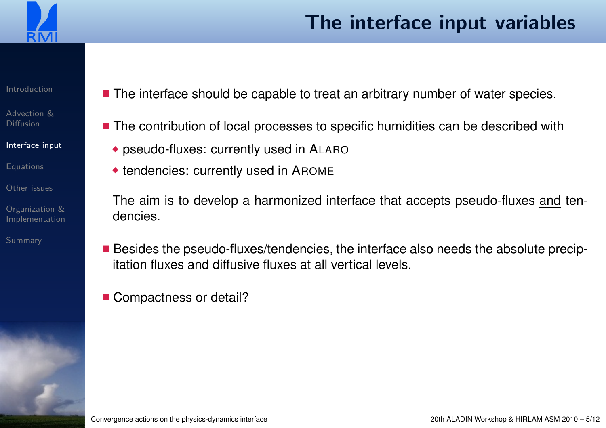<span id="page-4-0"></span>

### The interface input variables

#### [Introduction](#page-1-0)

[Advection](#page-3-0) &Diffusion

[Interface](#page-4-0) input

[Equations](#page-5-0)

[Other](#page-11-0) issues

Organization &[Implementation](#page-12-0)

[Summary](#page-18-0)

- The interface should be capable to treat an arbitrary number of water species.
- The contribution of local processes to specific humidities can be described with
	- $\bullet$  pseudo-fluxes: currently used in <code>ALARO</code>
	- ◆ tendencies: currently used in <sup>A</sup>ROME

The aim is to develop a harmonized interface that accepts pseudo-fluxes <u>and</u> tendencies.

- Besides the pseudo-fluxes/tendencies, the interface also needs the absolute precipitation fluxes and diffusive fluxes at all vertical levels.
- Compactness or detail?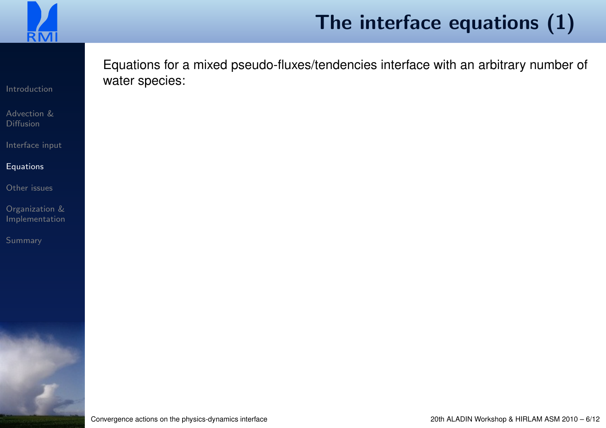<span id="page-5-0"></span>

# The interface equations (1)

Equations for <sup>a</sup> mixed pseudo-fluxes/tendencies interface with an arbitrary number of water species:

[Introduction](#page-1-0)

[Advection](#page-3-0) &Diffusion

[Interface](#page-4-0) input

#### [Equations](#page-5-0)

[Other](#page-11-0) issues

Organization &[Implementation](#page-12-0)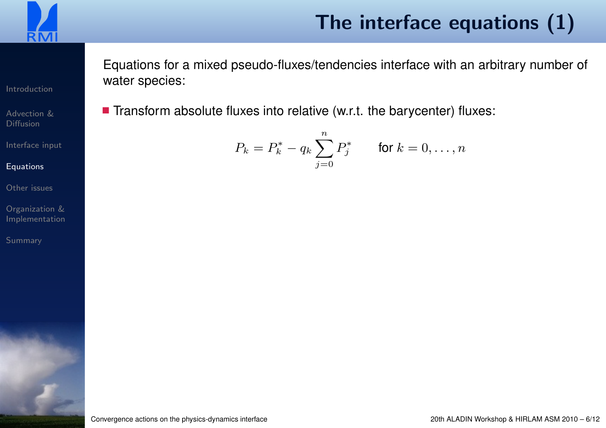

# The interface equations (1)

Equations for <sup>a</sup> mixed pseudo-fluxes/tendencies interface with an arbitrary number of water species:

 $\blacksquare$  Transform absolute fluxes into relative (w.r.t. the barycenter) fluxes:

$$
P_k = P_k^* - q_k \sum_{j=0}^n P_j^* \qquad \text{for } k = 0, \dots, n
$$

[Introduction](#page-1-0)

[Advection](#page-3-0) &Diffusion

[Interface](#page-4-0) input

#### **[Equations](#page-5-0)**

[Other](#page-11-0) issues

Organization &[Implementation](#page-12-0)

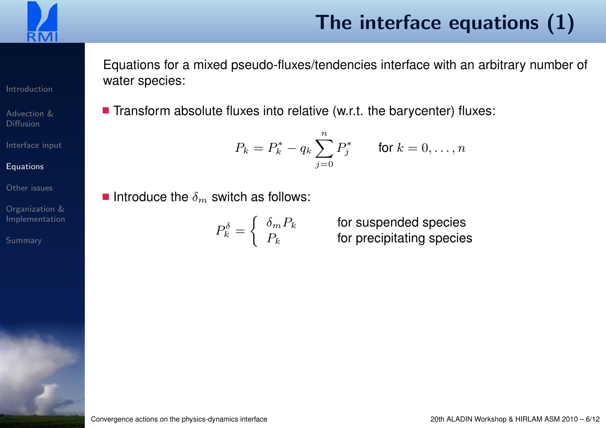

[Advection](#page-3-0) &Diffusion

[Interface](#page-4-0) input

**[Equations](#page-5-0)** 

[Summary](#page-18-0)

[Other](#page-11-0) issues

Organization &[Implementation](#page-12-0)

# The interface equations (1)

Equations for <sup>a</sup> mixed pseudo-fluxes/tendencies interface with an arbitrary number of water species:

 $\blacksquare$  Transform absolute fluxes into relative (w.r.t. the barycenter) fluxes:

$$
P_k = P_k^* - q_k \sum_{j=0}^n P_j^* \qquad \text{for } k = 0, \dots, n
$$

 $\blacksquare$  Introduce the  $\delta_m$  $\epsilon_m$  switch as follows:

$$
P_k^{\delta} = \begin{cases} \delta_m P_k \\ P_k \end{cases}
$$

 for suspended species for precipitating species

Convergence actions on the physics-dynamics interface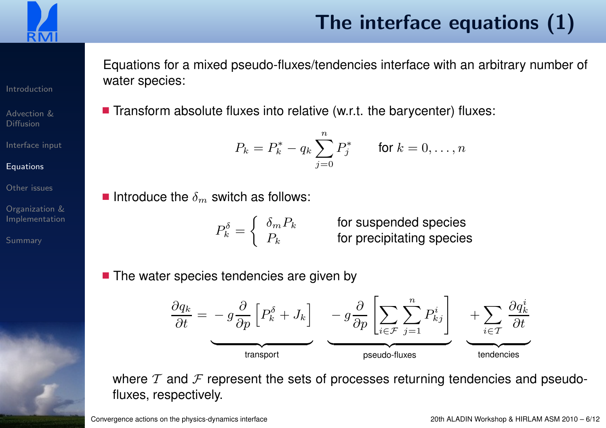

# The interface equations (1)

Equations for <sup>a</sup> mixed pseudo-fluxes/tendencies interface with an arbitrary number of water species:

 $\blacksquare$  Transform absolute fluxes into relative (w.r.t. the barycenter) fluxes:

$$
P_k = P_k^* - q_k \sum_{j=0}^n P_j^* \qquad \text{for } k = 0, \dots, n
$$

 $\blacksquare$  Introduce the  $\delta_m$  $\epsilon_m$  switch as follows:

$$
P_k^\delta = \left\{ \begin{array}{ll} \delta_m P_k \qquad & \textrm{for} \\ P_k \qquad & \textrm{for} \end{array} \right.
$$

suspended species precipitating species

■ The water species tendencies are given by

$$
\frac{\partial q_k}{\partial t} = -g \frac{\partial}{\partial p} \left[ P_k^{\delta} + J_k \right] \underbrace{-g \frac{\partial}{\partial p} \left[ \sum_{i \in \mathcal{F}} \sum_{j=1}^n P_{kj}^i \right]}_{\text{praudo-fluxes}} + \sum_{i \in \mathcal{T}} \frac{\partial q_k^i}{\partial t}
$$

where  $\mathcal T$  and  $\mathcal F$  represent the sets of processes returning tendencies and pseudofluxes, respectively.

[Introduction](#page-1-0)

[Advection](#page-3-0) &Diffusion

[Interface](#page-4-0) input

[Other](#page-11-0) issues

**[Equations](#page-5-0)** 

Organization &[Implementation](#page-12-0)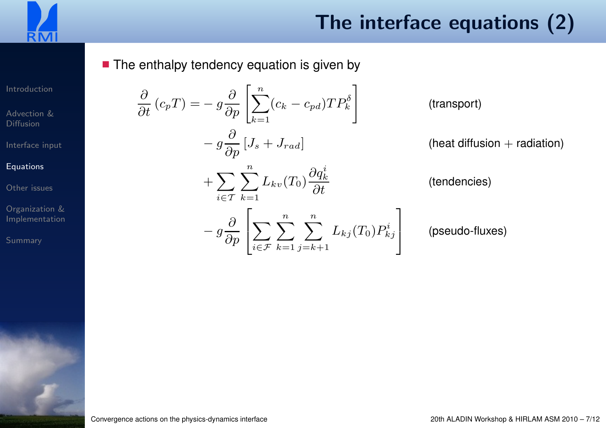

■ The enthalpy tendency equation is given by

∂

∂t

[Introduction](#page-1-0)

[Advection](#page-3-0) &Diffusion

[Interface](#page-4-0) input

#### [Equations](#page-5-0)

[Other](#page-11-0) issues

Organization &[Implementation](#page-12-0)

$$
(c_p T) = -g \frac{\partial}{\partial p} \left[ \sum_{k=1}^n (c_k - c_{pd}) T P_k^{\delta} \right]
$$
 (transport)  
\n
$$
-g \frac{\partial}{\partial p} [J_s + J_{rad}]
$$
 (heat diffusion + radiation)  
\n
$$
+ \sum_{i \in T} \sum_{k=1}^n L_{kv}(T_0) \frac{\partial q_k^i}{\partial t}
$$
 (tendencies)  
\n
$$
-g \frac{\partial}{\partial p} \left[ \sum_{i \in T} \sum_{k=1}^n \sum_{j=k+1}^n L_{kj}(T_0) P_{kj}^i \right]
$$
 (pseudo-fluxes)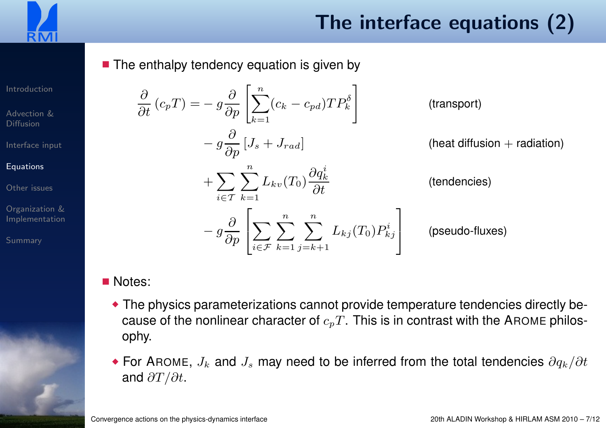

■ The enthalpy tendency equation is given by

[Introduction](#page-1-0)

[Advection](#page-3-0) &Diffusion

[Interface](#page-4-0) input

#### **[Equations](#page-5-0)**

[Other](#page-11-0) issues

Organization &[Implementation](#page-12-0)

[Summary](#page-18-0)



$$
(c_p T) = -g \frac{\partial}{\partial p} \left[ \sum_{k=1}^n (c_k - c_{pd}) T P_k^{\delta} \right]
$$
 (transport)  

$$
-g \frac{\partial}{\partial p} [J_s + J_{rad}]
$$
 (heat diffusion + radiation)  

$$
+ \sum_{i \in T} \sum_{k=1}^n L_{kv}(T_0) \frac{\partial q_k^i}{\partial t}
$$
 (tendencies)  

$$
-g \frac{\partial}{\partial p} \left[ \sum_{i \in T} \sum_{k=1}^n \sum_{j=k+1}^n L_{kj}(T_0) P_{kj}^i \right]
$$
 (pseudo-fluxes)

### ■ Notes:

∂

∂t

- ◆ The physics parameterizations cannot provide temperature tendencies directly because of the nonlinear character of  $c_pT.$  This is in contrast with the AROME philosophy.
- For AROME,  $J_k$  and  $J_s$  may need to be inferred from the total tendencies  $\partial q_k/\partial t$ and  $\partial T/\partial t$ .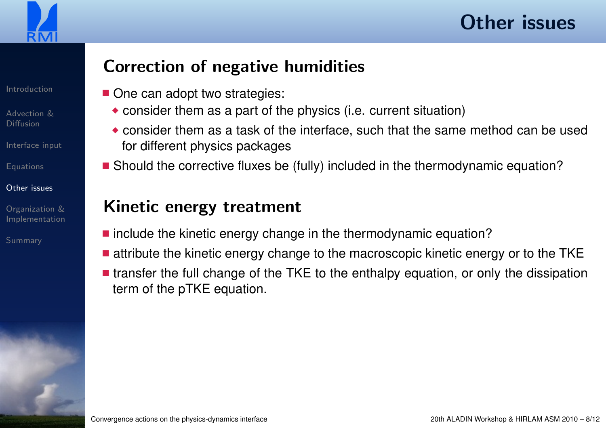<span id="page-11-0"></span>

[Advection](#page-3-0) &Diffusion

[Interface](#page-4-0) input

[Equations](#page-5-0)

#### [Other](#page-11-0) issues

Organization &[Implementation](#page-12-0)

[Summary](#page-18-0)

### Correction of negative humidities

- One can adopt two strategies:
	- $\bullet$  consider them as a part of the physics (i.e. current situation)
	- ◆ consider them as a task of the interface, such that the same method can be used for different physics packages
- Should the corrective fluxes be (fully) included in the thermodynamic equation?

### Kinetic energy treatment

- include the kinetic energy change in the thermodynamic equation?
- $\blacksquare$  attribute the kinetic energy change to the macroscopic kinetic energy or to the  $\mathsf{TKE}$
- transfer the full change of the TKE to the enthalpy equation, or only the dissipation term of the pTKE equation.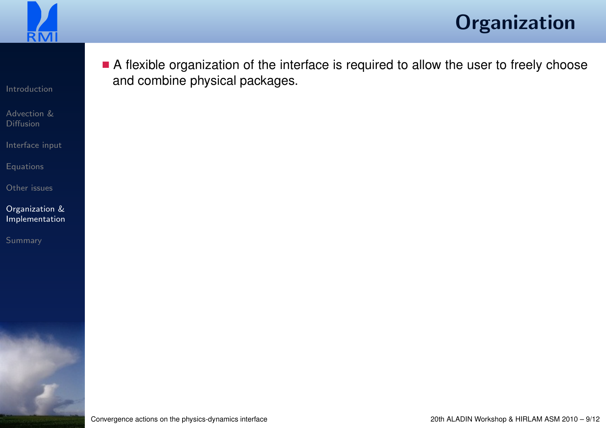<span id="page-12-0"></span>

■ A flexible organization of the interface is required to allow the user to freely choose

[Introduction](#page-1-0)

[Advection](#page-3-0) &Diffusion

[Interface](#page-4-0) input

**[Equations](#page-5-0)** 

[Other](#page-11-0) issues

Organization &[Implementation](#page-12-0)

[Summary](#page-18-0)

Convergence actions on the physics-dynamics interface

and combine physical packages.

20th ALADIN Workshop & HIRLAM ASM <sup>2010</sup> – 9/12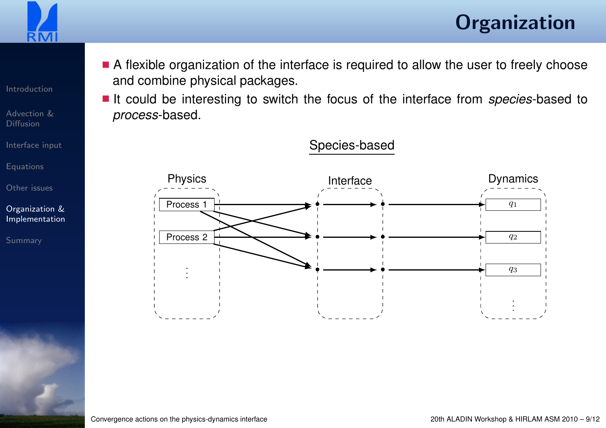

[Introduction](#page-1-0)

[Advection](#page-3-0) &Diffusion

[Interface](#page-4-0) input

[Equations](#page-5-0)

[Other](#page-11-0) issues

Organization &[Implementation](#page-12-0)

[Summary](#page-18-0)

■ A flexible organization of the interface is required to allow the user to freely choose and combine physical packages.

■ It could be interesting to switch the focus of the interface from *species*-based to<br>nreases based process-based.

Species-based

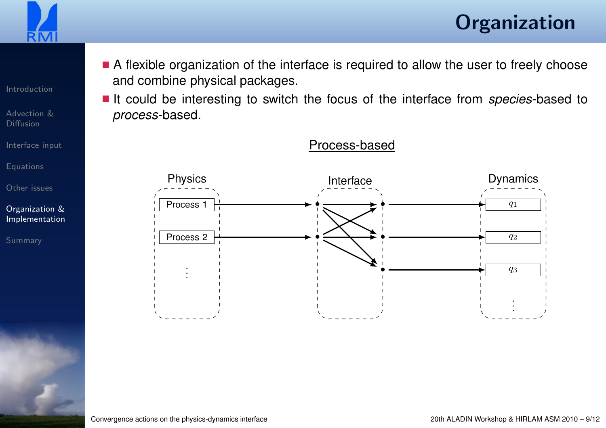

[Introduction](#page-1-0)

[Advection](#page-3-0) &Diffusion

[Interface](#page-4-0) input

[Equations](#page-5-0)

[Other](#page-11-0) issues

Organization &[Implementation](#page-12-0)

[Summary](#page-18-0)

■ A flexible organization of the interface is required to allow the user to freely choose and combine physical packages.

■ It could be interesting to switch the focus of the interface from *species*-based to<br>nreases based process-based.

Process-based

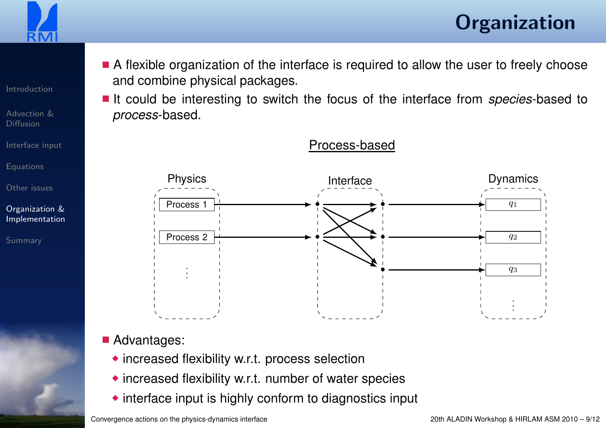

[Introduction](#page-1-0)

[Advection](#page-3-0) &Diffusion

[Interface](#page-4-0) input

[Equations](#page-5-0)

[Other](#page-11-0) issues

Organization &[Implementation](#page-12-0)

[Summary](#page-18-0)

■ A flexible organization of the interface is required to allow the user to freely choose and combine physical packages.

■ It could be interesting to switch the focus of the interface from *species*-based to<br>nreases based process-based.

Process-based



### ■ Advantages:

- ◆ increased flexibility w.r.t. process selection
- ◆ increased flexibility w.r.t. number of water species
- ◆ interface input is highly conform to diagnostics input

Convergence actions on the physics-dynamics interface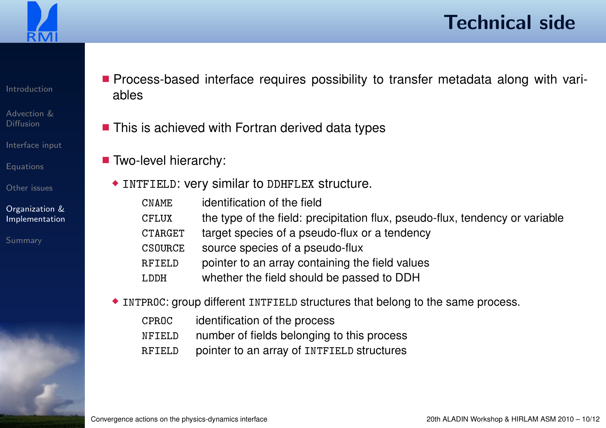

### Technical side

[Introduction](#page-1-0)

[Advection](#page-3-0) &Diffusion

[Interface](#page-4-0) input

[Equations](#page-5-0)

[Other](#page-11-0) issues

Organization &[Implementation](#page-12-0)

- Process-based interface requires possibility to transfer metadata along with variables
- $\blacksquare$  This is achieved with Fortran derived data types
- Two-level hierarchy:
	- ◆ INTFIELD: very similar to DDHFLEX structure.
		- CNAMEidentification of the field
		- the type of the field: precipitation flux, pseudo-flux, tendency or variableCFLUX
		- CTARGETtarget species of <sup>a</sup> pseudo-flux or <sup>a</sup> tendency
		- CSOURCEsource species of <sup>a</sup> pseudo-flux
		- RFIELDpointer to an array containing the field values
		- LDDHwhether the field should be passed to DDH
	- ◆ INTPROC: group different INTFIELD structures that belong to the same process.
		- CPROCidentification of the process
		- NFIELDnumber of fields belonging to this process
		- RFIELDpointer to an array of INTFIELD structures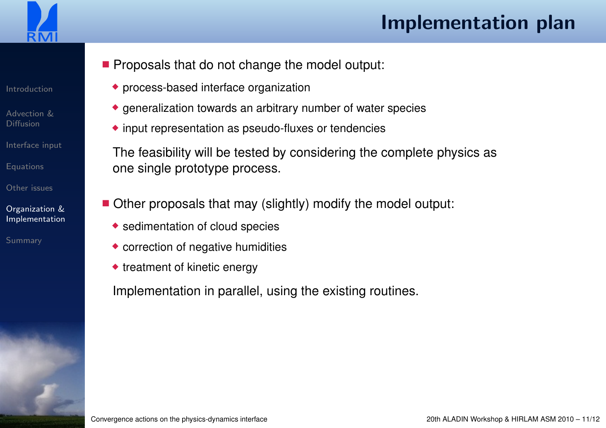

### Implementation plan

■ Proposals that do not change the model output:

- ◆ process-based interface organization
- ◆ generalization towards an arbitrary number of water species
- ◆ input representation as pseudo-fluxes or tendencies

The feasibility will be tested by considering the complete physics asone single prototype process.

- Other proposals that may (slightly) modify the model output:
	- ◆ sedimentation of cloud species
	- ◆ correction of negative humidities
	- ◆ treatment of kinetic energy

Implementation in parallel, using the existing routines.

Convergence actions on the physics-dynamics interface

20th ALADIN Workshop & HIRLAM ASM <sup>2010</sup> – 11/12

[Introduction](#page-1-0)

[Advection](#page-3-0) &Diffusion

[Interface](#page-4-0) input

[Equations](#page-5-0)

[Other](#page-11-0) issues

Organization &[Implementation](#page-12-0)